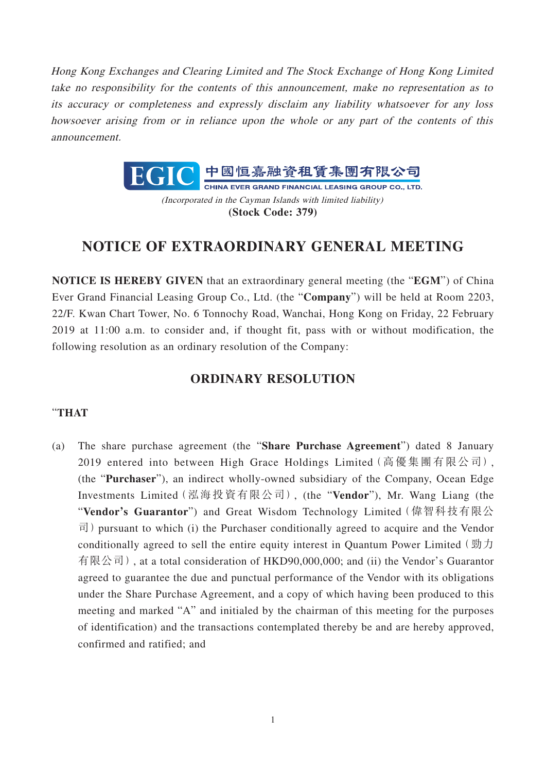Hong Kong Exchanges and Clearing Limited and The Stock Exchange of Hong Kong Limited take no responsibility for the contents of this announcement, make no representation as to its accuracy or completeness and expressly disclaim any liability whatsoever for any loss howsoever arising from or in reliance upon the whole or any part of the contents of this announcement.



(Incorporated in the Cayman Islands with limited liability) **(Stock Code: 379)**

## **NOTICE OF EXTRAORDINARY GENERAL MEETING**

**NOTICE IS HEREBY GIVEN** that an extraordinary general meeting (the "**EGM**") of China Ever Grand Financial Leasing Group Co., Ltd. (the "**Company**") will be held at Room 2203, 22/F. Kwan Chart Tower, No. 6 Tonnochy Road, Wanchai, Hong Kong on Friday, 22 February 2019 at 11:00 a.m. to consider and, if thought fit, pass with or without modification, the following resolution as an ordinary resolution of the Company:

## **ORDINARY RESOLUTION**

## "**THAT**

(a) The share purchase agreement (the "**Share Purchase Agreement**") dated 8 January 2019 entered into between High Grace Holdings Limited(高優集團有限公司), (the "**Purchaser**"), an indirect wholly-owned subsidiary of the Company, Ocean Edge Investments Limited(泓海投資有限公司), (the "**Vendor**"), Mr. Wang Liang (the "**Vendor's Guarantor**") and Great Wisdom Technology Limited(偉智科技有限公  $\vec{\mathbb{q}}$ ) pursuant to which (i) the Purchaser conditionally agreed to acquire and the Vendor conditionally agreed to sell the entire equity interest in Quantum Power Limited (勁力 有限公司), at a total consideration of HKD90,000,000; and (ii) the Vendor's Guarantor agreed to guarantee the due and punctual performance of the Vendor with its obligations under the Share Purchase Agreement, and a copy of which having been produced to this meeting and marked "A" and initialed by the chairman of this meeting for the purposes of identification) and the transactions contemplated thereby be and are hereby approved, confirmed and ratified; and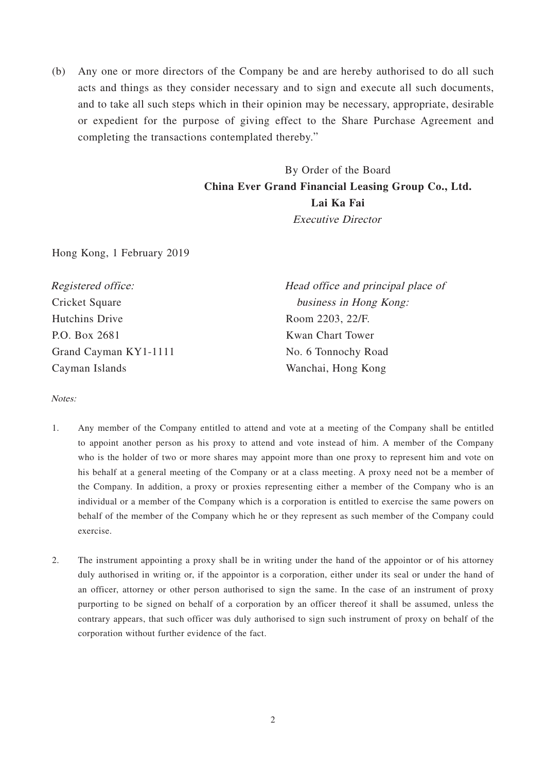(b) Any one or more directors of the Company be and are hereby authorised to do all such acts and things as they consider necessary and to sign and execute all such documents, and to take all such steps which in their opinion may be necessary, appropriate, desirable or expedient for the purpose of giving effect to the Share Purchase Agreement and completing the transactions contemplated thereby."

> By Order of the Board **China Ever Grand Financial Leasing Group Co., Ltd. Lai Ka Fai** Executive Director

Hong Kong, 1 February 2019

| Registered office:    | Head office and principal place of |
|-----------------------|------------------------------------|
| Cricket Square        | business in Hong Kong:             |
| Hutchins Drive        | Room 2203, 22/F.                   |
| P.O. Box 2681         | Kwan Chart Tower                   |
| Grand Cayman KY1-1111 | No. 6 Tonnochy Road                |
| Cayman Islands        | Wanchai, Hong Kong                 |

Notes:

- 1. Any member of the Company entitled to attend and vote at a meeting of the Company shall be entitled to appoint another person as his proxy to attend and vote instead of him. A member of the Company who is the holder of two or more shares may appoint more than one proxy to represent him and vote on his behalf at a general meeting of the Company or at a class meeting. A proxy need not be a member of the Company. In addition, a proxy or proxies representing either a member of the Company who is an individual or a member of the Company which is a corporation is entitled to exercise the same powers on behalf of the member of the Company which he or they represent as such member of the Company could exercise.
- 2. The instrument appointing a proxy shall be in writing under the hand of the appointor or of his attorney duly authorised in writing or, if the appointor is a corporation, either under its seal or under the hand of an officer, attorney or other person authorised to sign the same. In the case of an instrument of proxy purporting to be signed on behalf of a corporation by an officer thereof it shall be assumed, unless the contrary appears, that such officer was duly authorised to sign such instrument of proxy on behalf of the corporation without further evidence of the fact.